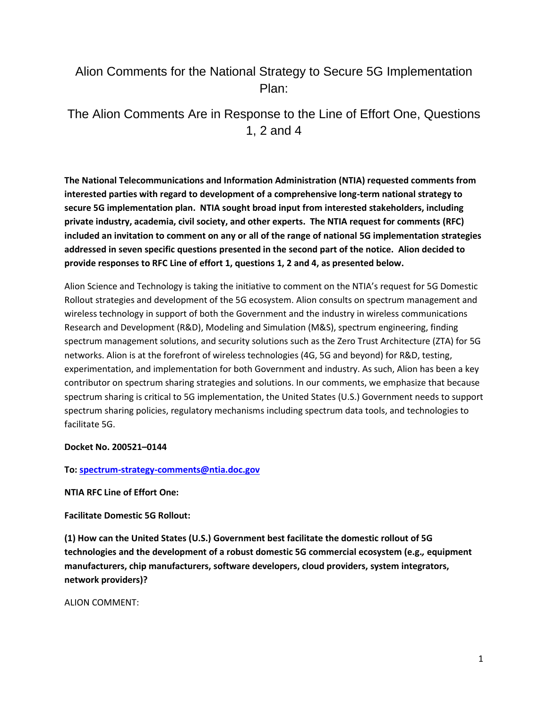# Alion Comments for the National Strategy to Secure 5G Implementation Plan:

The Alion Comments Are in Response to the Line of Effort One, Questions 1, 2 and 4

**The National Telecommunications and Information Administration (NTIA) requested comments from interested parties with regard to development of a comprehensive long-term national strategy to secure 5G implementation plan. NTIA sought broad input from interested stakeholders, including private industry, academia, civil society, and other experts. The NTIA request for comments (RFC) included an invitation to comment on any or all of the range of national 5G implementation strategies addressed in seven specific questions presented in the second part of the notice. Alion decided to provide responses to RFC Line of effort 1, questions 1, 2 and 4, as presented below.**

Alion Science and Technology is taking the initiative to comment on the NTIA's request for 5G Domestic Rollout strategies and development of the 5G ecosystem. Alion consults on spectrum management and wireless technology in support of both the Government and the industry in wireless communications Research and Development (R&D), Modeling and Simulation (M&S), spectrum engineering, finding spectrum management solutions, and security solutions such as the Zero Trust Architecture (ZTA) for 5G networks. Alion is at the forefront of wireless technologies (4G, 5G and beyond) for R&D, testing, experimentation, and implementation for both Government and industry. As such, Alion has been a key contributor on spectrum sharing strategies and solutions. In our comments, we emphasize that because spectrum sharing is critical to 5G implementation, the United States (U.S.) Government needs to support spectrum sharing policies, regulatory mechanisms including spectrum data tools, and technologies to facilitate 5G.

### **Docket No. 200521–0144**

#### **To: [spectrum-strategy-comments@ntia.doc.gov](mailto:spectrum-strategy-comments@ntia.doc.gov)**

**NTIA RFC Line of Effort One:**

**Facilitate Domestic 5G Rollout:**

**(1) How can the United States (U.S.) Government best facilitate the domestic rollout of 5G technologies and the development of a robust domestic 5G commercial ecosystem (e.g.***,* **equipment manufacturers, chip manufacturers, software developers, cloud providers, system integrators, network providers)?**

ALION COMMENT: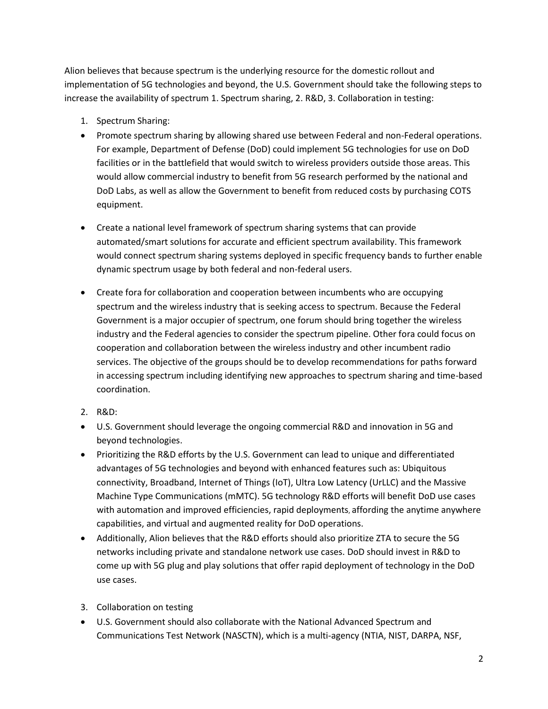Alion believes that because spectrum is the underlying resource for the domestic rollout and implementation of 5G technologies and beyond, the U.S. Government should take the following steps to increase the availability of spectrum 1. Spectrum sharing, 2. R&D, 3. Collaboration in testing:

- 1. Spectrum Sharing:
- Promote spectrum sharing by allowing shared use between Federal and non-Federal operations. For example, Department of Defense (DoD) could implement 5G technologies for use on DoD facilities or in the battlefield that would switch to wireless providers outside those areas. This would allow commercial industry to benefit from 5G research performed by the national and DoD Labs, as well as allow the Government to benefit from reduced costs by purchasing COTS equipment.
- Create a national level framework of spectrum sharing systems that can provide automated/smart solutions for accurate and efficient spectrum availability. This framework would connect spectrum sharing systems deployed in specific frequency bands to further enable dynamic spectrum usage by both federal and non-federal users.
- Create fora for collaboration and cooperation between incumbents who are occupying spectrum and the wireless industry that is seeking access to spectrum. Because the Federal Government is a major occupier of spectrum, one forum should bring together the wireless industry and the Federal agencies to consider the spectrum pipeline. Other fora could focus on cooperation and collaboration between the wireless industry and other incumbent radio services. The objective of the groups should be to develop recommendations for paths forward in accessing spectrum including identifying new approaches to spectrum sharing and time-based coordination.
- 2. R&D:
- U.S. Government should leverage the ongoing commercial R&D and innovation in 5G and beyond technologies.
- Prioritizing the R&D efforts by the U.S. Government can lead to unique and differentiated advantages of 5G technologies and beyond with enhanced features such as: Ubiquitous connectivity, Broadband, Internet of Things (IoT), Ultra Low Latency (UrLLC) and the Massive Machine Type Communications (mMTC). 5G technology R&D efforts will benefit DoD use cases with automation and improved efficiencies, rapid deployments, affording the anytime anywhere capabilities, and virtual and augmented reality for DoD operations.
- Additionally, Alion believes that the R&D efforts should also prioritize ZTA to secure the 5G networks including private and standalone network use cases. DoD should invest in R&D to come up with 5G plug and play solutions that offer rapid deployment of technology in the DoD use cases.
- 3. Collaboration on testing
- U.S. Government should also collaborate with the National Advanced Spectrum and Communications Test Network (NASCTN), which is a multi-agency (NTIA, NIST, DARPA, NSF,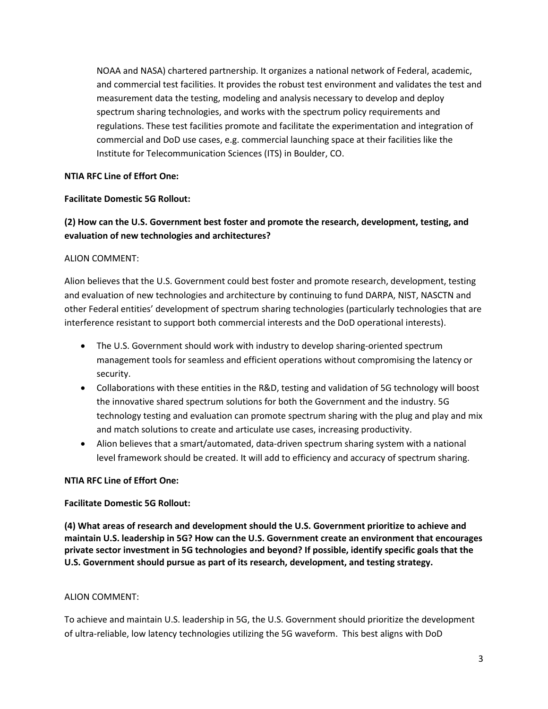NOAA and NASA) chartered partnership. It organizes a national network of Federal, academic, and commercial test facilities. It provides the robust test environment and validates the test and measurement data the testing, modeling and analysis necessary to develop and deploy spectrum sharing technologies, and works with the spectrum policy requirements and regulations. These test facilities promote and facilitate the experimentation and integration of commercial and DoD use cases, e.g. commercial launching space at their facilities like the Institute for Telecommunication Sciences (ITS) in Boulder, CO.

## **NTIA RFC Line of Effort One:**

### **Facilitate Domestic 5G Rollout:**

# **(2) How can the U.S. Government best foster and promote the research, development, testing, and evaluation of new technologies and architectures?**

## ALION COMMENT:

Alion believes that the U.S. Government could best foster and promote research, development, testing and evaluation of new technologies and architecture by continuing to fund DARPA, NIST, NASCTN and other Federal entities' development of spectrum sharing technologies (particularly technologies that are interference resistant to support both commercial interests and the DoD operational interests).

- The U.S. Government should work with industry to develop sharing-oriented spectrum management tools for seamless and efficient operations without compromising the latency or security.
- Collaborations with these entities in the R&D, testing and validation of 5G technology will boost the innovative shared spectrum solutions for both the Government and the industry. 5G technology testing and evaluation can promote spectrum sharing with the plug and play and mix and match solutions to create and articulate use cases, increasing productivity.
- Alion believes that a smart/automated, data-driven spectrum sharing system with a national level framework should be created. It will add to efficiency and accuracy of spectrum sharing.

### **NTIA RFC Line of Effort One:**

### **Facilitate Domestic 5G Rollout:**

**(4) What areas of research and development should the U.S. Government prioritize to achieve and maintain U.S. leadership in 5G? How can the U.S. Government create an environment that encourages private sector investment in 5G technologies and beyond? If possible, identify specific goals that the U.S. Government should pursue as part of its research, development, and testing strategy.**

### ALION COMMENT:

To achieve and maintain U.S. leadership in 5G, the U.S. Government should prioritize the development of ultra-reliable, low latency technologies utilizing the 5G waveform. This best aligns with DoD